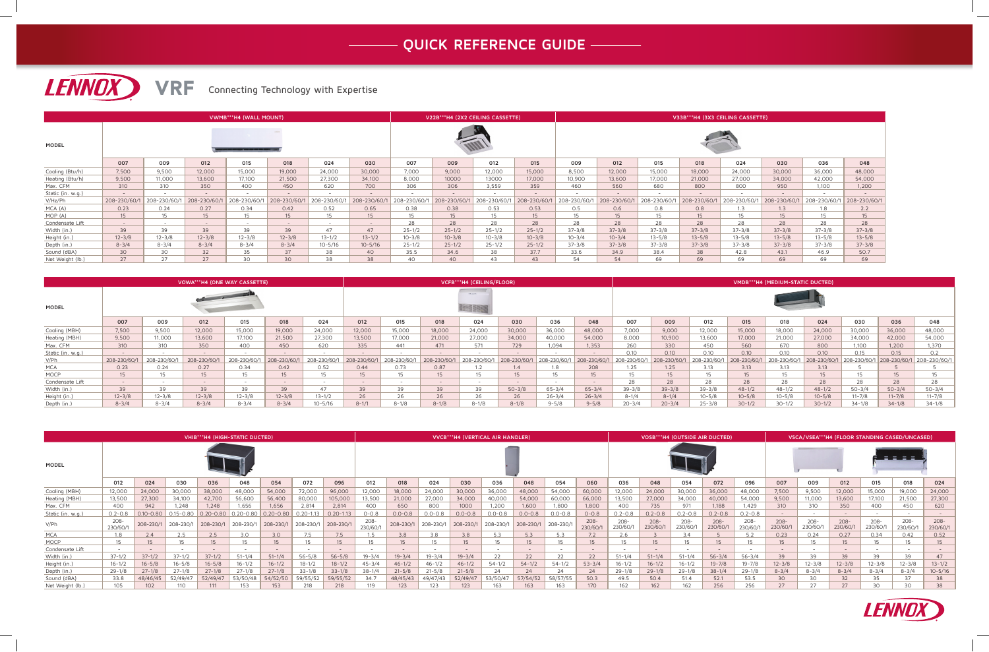|                   |              |                  |              | VWMB***H4 (WALL MOUNT) |             |              |              |             | V22B***H4 (2X2 CEILING CASSETTE) |             |                  | V33B***H4 (3X3 CEILING CASSETTE) |                    |              |              |                          |              |                          |               |
|-------------------|--------------|------------------|--------------|------------------------|-------------|--------------|--------------|-------------|----------------------------------|-------------|------------------|----------------------------------|--------------------|--------------|--------------|--------------------------|--------------|--------------------------|---------------|
| <b>MODEL</b>      |              |                  |              |                        |             |              |              |             |                                  |             |                  |                                  |                    |              |              |                          |              |                          |               |
|                   | 007          | 009              | 012          | 015                    | 018         | 024          | 030          | 007         | 009                              | 012         | 015              | 009                              | 012                | 015          | 018          | 024                      | 030          | 036                      | 048           |
| Cooling (Btu/h)   | 7,500        | 9,500            | 12,000       | 15,000                 | 19,000      | 24,000       | 30,000       | 7.000       | 9,000                            | 12,000      | 15,000           | 8,500                            | 12,000             | 15,000       | 18,000       | 24,000                   | 30,000       | 36,000                   | 48,000        |
| Heating (Btu/h)   | 9,500        | 11,000           | 13,600       | 17,100                 | 21,500      | 27,300       | 34,100       | 8,000       | 10000                            | 13000       | 17,000           | 10,900                           | 13,600             | 17,000       | 21,000       | 27,000                   | 34,000       | 42,000                   | 54,000        |
| Max. CFM          | 310          | 310              | 350          | 400                    | 450         | 620          | 700          | 306         | 306                              | 3,559       | 359              | 460                              | 560                | 680          | 800          | 800                      | 950          | 1,100                    | 1,200         |
| Static (in. w.g.) | $\sim$       | $-$              | $-$          | $-$                    |             | $\sim$       | $\sim$       |             | $\overline{a}$                   |             |                  | $\overline{\phantom{a}}$         | $\sim$             |              | $\sim$       | $\overline{\phantom{0}}$ |              | $\overline{\phantom{0}}$ | $\sim$        |
| V/Hz/Ph           | 208-230/60/1 | 208-230/60/      | 208-230/60/1 | 208-230/60/            | 208-230/60/ | 208-230/60/1 | 208-230/60/1 | 208-230/60/ | 208-230/60/1                     | 208-230/60/ | 208-230/60/1     | 208-230/60/                      | 208-230/60/        | 208-230/60/1 | 208-230/60/1 | 208-230/60/              | 208-230/60/1 | 208-230/60/              | 208-230/60/1  |
| MCA (A)           | 0.23         | 0.24             | 0.27         | 0.34                   | 0.42        | 0.52         | 0.65         | 0.38        | 0.38                             | 0.53        | 0.53             | 0.5                              | 0.6                | 0.8          | 0.8          | 1.3                      | 1.3          | 1.8                      | $2.2^{\circ}$ |
| MOP (A)           | $15-15$      | 15 <sup>15</sup> | 15           | 15                     | 15          | 15           | $15-15$      | 15          | 15                               | 15          | 15 <sup>15</sup> | 15                               | 15                 | $15 -$       | 15           | 15                       | $15 -$       | 15                       | 15            |
| Condensate Lift   | $\sim$       | $\sim$           | $-$          | $\sim$                 |             | $\sim$       | $\sim$ $-$   | 28          | 28                               | 28          | 28               | 28                               | 28                 | 28           | 28           | 28                       | 28           | 28                       | 28            |
| Width (in.)       | 39           | 39               | 39           | 39                     | 39          | 47           | 47           | $25 - 1/2$  | $25 - 1/2$                       | $25 - 1/2$  | $25 - 1/2$       | 37-3/8                           | $37 - 3/8$         | $37 - 3/8$   | $37 - 3/8$   | $37 - 3/8$               | $37 - 3/8$   | $37 - 3/8$               | $37 - 3/8$    |
| Height (in.)      | $12 - 3/8$   | $12 - 3/8$       | $12 - 3/8$   | $12 - 3/8$             | $12 - 3/8$  | $13 - 1/2$   | $13 - 1/2$   | $10 - 3/8$  | $10 - 3/8$                       | $10 - 3/8$  | $10 - 3/8$       | $10 - 3/4$                       | $10 - \frac{3}{4}$ | $13 - 5/8$   | $13 - 5/8$   | $13 - 5/8$               | $13 - 5/8$   | $13 - 5/8$               | $13 - 5/8$    |
| Depth (in.)       | $8 - 3/4$    | $8 - 3/4$        | $8 - 3/4$    | $8 - 3/4$              | $8 - 3/4$   | $10 - 5/16$  | $10 - 5/16$  | $25 - 1/2$  | $25 - 1/2$                       | $25 - 1/2$  | $25 - 1/2$       | 37-3/8                           | $37 - 3/8$         | $37 - 3/8$   | $37 - 3/8$   | $37 - 3/8$               | $37 - 3/8$   | $37 - 3/8$               | $37 - 3/8$    |
| Sound (dBA)       | 30           | 30               | 32           | 35                     | 37          | 38           | 40           | 35.5        | 34.6                             | 38          | 37.7             | 33.6                             | 34.9               | 38.4         | 38           | 42.8                     | 43.1         | 46.9                     | 50.7          |
| Net Weight (lb.)  | 27           | 27               | 27           | 30                     | 30          | 38           | 38           | 40          | 40                               | 43          | 43               | 54                               | 54                 | 69           | 69           | 69                       | 69           | 69                       | 69            |

| VOWA***H4 (ONE WAY CASSETTE) |             |              |               |              |                          |              | VCFB***H4 (CEILING/FLOOR) |             |                          |              |              |            | VMDB***H4 (MEDIUM-STATIC DUCTED) |             |              |              |              |             |             |              |              |              |
|------------------------------|-------------|--------------|---------------|--------------|--------------------------|--------------|---------------------------|-------------|--------------------------|--------------|--------------|------------|----------------------------------|-------------|--------------|--------------|--------------|-------------|-------------|--------------|--------------|--------------|
| MODEL                        |             |              |               |              |                          |              | WE WILL !!                |             |                          |              |              |            |                                  |             |              |              |              |             |             |              |              |              |
|                              | 007         | 009          | 012           | 015          | 018                      | 024          | 012                       | 015         | 018                      | 024          | 030          | 036        | 048                              | 007         | 009          | 012          | 015          | 018         | 024         | 030          | 036          | 048          |
| Cooling (MBH)                | 7,500       | 9,500        | 12,000        | 15,000       | 19,000                   | 24,000       | 12,000                    | 15,000      | 18,000                   | 24,000       | 30,000       | 36,000     | 48,000                           | 7,000       | 9,000        | 12,000       | 15,000       | 18,000      | 24,000      | 30,000       | 36,000       | 48,000       |
| Heating (MBH)                | 9,500       | 11,000       | 13,600        | 17,100       | 21,500                   | 27,300       | 13,500                    | 17,000      | 21,000                   | 27,000       | 34,000       | 40,000     | 54,000                           | 8,000       | 10,900       | 13,600       | 17,000       | 21,000      | 27,000      | 34,000       | 42,000       | 54,000       |
| Max. CFM                     | 310         | 310          | 350           | 400          | 450                      | 620          | 335                       | 441         | 471                      | 571          | 729          | 1.094      | 1,353                            | 260         | 330          | 450          | 560          | 670         | 800         | 1,100        | 1,200        | 1,370        |
| Static (in. w.g.)            | $\sim$      |              | $\sim$ $\sim$ |              | $\sim$                   |              | $\sim$                    |             | $\overline{\phantom{0}}$ |              |              |            |                                  | 0.10        | 0.10         | 0.10         | 0.10         | 0.10        | 0.10        | 2.15         | 0.15         |              |
| V/Ph                         | 208-230/60/ | 208-230/60/1 | 208-230/60/   | 208-230/60/1 | 208-230/60/1             | 208-230/60/1 | 208-230/60/1              | 208-230/60/ | 208-230/60/1             | 208-230/60/1 | 208-230/60/1 | 208-230/60 | 208-230/60/1                     | 208-230/60/ | 208-230/60/1 | 208-230/60/1 | 208-230/60/1 | 208-230/60/ | 208-230/60/ | 208-230/60/1 | 208-230/60/1 | 208-230/60/1 |
| <b>MCA</b>                   | 0.23        | 0.24         | 0.27          | 0.34         | 0.42                     | 0.52         | 0.44                      | 0.73        | 0.87                     |              | 1.4          | 1.8.       | 208                              | 1.25        | 1.25         | 3.13         | 3.13         | 3.13        | 3.13        |              |              |              |
| MOCP                         | 15          |              | 15            | 15           | 15                       |              | 15                        | 15          | 15                       |              |              | $15 -$     | 15                               | 15          | 15           |              | 15           |             | $15-15$     |              | 15           |              |
| Condensate Lift              | $\sim$ $-$  |              | $\sim$ $\sim$ | $-$          | $\overline{\phantom{a}}$ |              | $-$                       | $\sim$      | $\overline{\phantom{0}}$ |              |              |            | $\sim$ $-$                       | 28          | 28           | 28           | 28           | 28          | 28          |              | 28           |              |
| Width (in.)                  | 39          |              | 39            | 39           | 39                       |              | 39                        | 39          | 39                       |              | $50 - 3/8$   | 65-3/4     | $65 - 3/4$                       | $39 - 3/8$  | $39 - 3/8$   | $39 - 3/8$   | $48 - 1/2$   | $48 - 1/2$  | $48 - 1/2$  | $50 - 3/4$   | $50 - 3/4$   | 50-3/4       |
| Height (in.)                 | $12 - 3/8$  | $12 - 3/8$   | $12 - 3/8$    | $12 - 3/8$   | $12 - 3/8$               | $13 - 1/2$   | 26                        | 26          | 26                       |              | 26           | $26 - 3/4$ | $26 - 3/4$                       | $8 - 1/4$   | $8 - 1/4$    | $10 - 5/8$   | $10 - 5/8$   | $10 - 5/8$  | $10 - 5/8$  | $11 - 7/8$   | $11 - 7/8$   | $11 - 7/8$   |
| Depth (in.)                  | $8 - 3/4$   | $8 - 3/4$    | $8 - 3/4$     | $8 - 3/4$    | $8 - 3/4$                | $10 - 5/16$  | $8 - 1/1$                 | $8 - 1/8$   | $8 - 1/8$                | $8 - 1/8$    | $8 - 1/8$    | $9 - 5/8$  | $9 - 5/8$                        | $20 - 3/4$  | $20 - 3/4$   | $25 - 3/8$   | $30 - 1/2$   | $30 - 1/2$  | $30 - 1/2$  | $34 - 1/8$   | $34 - 1/8$   | $34 - 1/8$   |

|                   | VHIB***H4 (HIGH-STATIC DUCTED) |               |               |               |               |               | VVCB***H4 (VERTICAL AIR HANDLER) |               |                  |             |             |             | VOSB***H4 (OUTSIDE AIR DUCTED) |             |                          |                     |                  | VSCA/VSEA***H4 (FLOOR STANDING CASED/UNCASED) |             |                    |                     |                     |                    |                     |                    |                     |                     |
|-------------------|--------------------------------|---------------|---------------|---------------|---------------|---------------|----------------------------------|---------------|------------------|-------------|-------------|-------------|--------------------------------|-------------|--------------------------|---------------------|------------------|-----------------------------------------------|-------------|--------------------|---------------------|---------------------|--------------------|---------------------|--------------------|---------------------|---------------------|
| MODEL             |                                |               |               |               |               |               |                                  |               |                  |             |             |             |                                |             |                          |                     |                  |                                               |             |                    |                     |                     |                    |                     |                    |                     |                     |
|                   | 012                            | 024           | 030           | 036           | 048           | 054           | 072                              | 096           | 012              | 018         | 024         | 030         | 036                            | 048         | 054                      | 060                 | 036              | 048                                           | 054         | 072                | 096                 | 007                 | 009                | 012                 | 015                | 018                 | 024                 |
| Cooling (MBH)     | 12,000                         | 24,000        | 30,000        | 38,000        | 48,000        | 54,000        | 72,000                           | 96,000        | 12,000           | 18,000      | 24,000      | 30,000      | 36,000                         | 48,000      | 54,000                   | 60,000              | 12,000           | 24,000                                        | 30,000      | 36,000             | 48,000              | 7,500               | 9,500              | 12,000              | 15,000             | 19,000              | 24,000              |
| Heating (MBH)     | 13,500                         | 27,300        | 34,100        | 42,700        | 56,600        | 56,400        | 80,000                           | 105,000       | 13,500           | 21,000      | 27,000      | 34,000      | 40,000                         | 54,000      | 60,000                   | 66,000              | 13,500           | 27,000                                        | 34,000      | 40,000             | 54,000              | 9,500               | 11,000             | 13,600              | 17,100             | 21,500              | 27,300              |
| Max. CFM          | 400                            | 942           | 1,248         | .248          | 1,656         | 1,656         | 2,814                            | 2,814         | 400              | 650         | 800         | 1000        | 1,200                          | 1,600       | 1,800                    | 1,800               | 400              | 735                                           |             | 1,188              | 1.429               | 310                 | 310                | 350                 | 400                | 450                 | 620                 |
| Static (in. w.g.) | $0.2 - 0.8$                    | $0.10 - 0.80$ | $0.15 - 0.80$ | $0.20 - 0.80$ | $0.20 - 0.80$ | $0.20 - 0.80$ | $0.20 - 1.1$                     | $0.20 - 1.13$ | $0 - 0.8$        | $0.0 - 0.8$ | $0.0 - 0.8$ | $0.0 - 0.8$ | $0.0 - 0.8$                    | $0.0 - 0.8$ | $0.0 - 0.8$              | $0 - 0.8$           | $0.2 - 0.8$      | $0.2 - 0.8$                                   | $0.2 - 0.8$ | $0.2 - 0.8$        | $0.2 - 0.8$         |                     | $\sim$             |                     |                    |                     |                     |
| V/Ph              | 208-<br>230/60/1               | 208-230/1     | 208-230/      | 208-230/1     | 208-230/1     | 208-230/1     | 208-230/1                        | 208-230/1     | 208-<br>230/60/1 | 208-230/1   | 208-230/    | 208-230/    | 208-230/                       | 208-230/1   | 208-230/1                | $208 -$<br>230/60/1 | 208-<br>230/60/1 | $208 -$<br>230/60/                            | 230/60/1    | $208 -$<br>230/60/ | $208 -$<br>230/60/1 | $208 -$<br>230/60/1 | $208 -$<br>230/60/ | $208 -$<br>230/60/1 | $208 -$<br>230/60/ | $208 -$<br>230/60/1 | $208 -$<br>230/60/1 |
| <b>MCA</b>        | 1.8                            | 2.4           | 2.5           | 2.5           | 3.0           | 3.0           | 7.5                              | 7.5           |                  | 3.8         | 3.8         | 3.8         | 5.3                            | 5.3         | 5.3                      | 7.2                 | 2.6              |                                               | 34          |                    | 5.2                 | 0.23                | 0.24               | 0.27                | 0.34               | 0.42                | 0.52                |
| <b>MOCP</b>       |                                |               | 15            | 15            | 15            |               |                                  | 15            |                  | 15          |             |             | 15                             | 15          | 15                       | $15 -$              | 15               | 15                                            |             | 15 <sup>15</sup>   | 15                  | 15                  | $15 -$             | 15                  | 15                 | 15.                 | 15                  |
| Condensate Lift   |                                |               |               |               |               |               |                                  |               |                  |             |             |             |                                |             | $\overline{\phantom{a}}$ |                     |                  | $\sim$                                        |             |                    |                     |                     | $-$                |                     |                    |                     |                     |
| Width (in.)       | $37 - 1/2$                     | $37 - 1/2$    | $37 - 1/2$    | $37 - 1/2$    | $51 - 1/4$    | $51 - 1/4$    | $56 - 5/8$                       | $56 - 5/8$    | $19 - 3/4$       | $19 - 3/4$  | $19 - 3/4$  | $19 - 3/4$  | 22                             | 22          | 22                       | 22                  | $51 - 1/4$       | $51 - 1/4$                                    | $51 - 1/4$  | $56 - 3/4$         | $56 - 3/4$          | 39                  | 39                 | 39                  | 39                 | 39                  | 47                  |
| Height (in.       | $16 - 1/2$                     | $16 - 5/8$    | $16 - 5/8$    | $16 - 5/8$    | $16 - 1/2$    | $16 - 1/2$    | $18 - 1/2$                       | $18 - 1/2$    | $45 - 3/4$       | $46 - 1/2$  | $46 - 1/2$  | $46 - 1/2$  | $54 - 1/2$                     | $54 - 1/2$  | $54 - 1/2$               | $53 - 3/4$          | $16 - 1/2$       | $16 - 1/2$                                    | $16 - 1/2$  | $19 - 7/8$         | $19 - 7/8$          | $12 - 3/8$          | $12 - 3/8$         | $12 - 3/8$          | $12 - 3/8$         | $12 - 3/8$          | $13 - 1/2$          |
| Depth (in.)       | $29 - 1/8$                     | $27 - 1/8$    | $27 - 1/8$    | $27 - 1/8$    | $27 - 1/8$    | $27 - 1/8$    | $33 - 1/8$                       | $33 - 1/8$    | $38 - 1/4$       | $21 - 5/8$  | $21 - 5/8$  | $21 - 5/8$  | 24                             | 24          | 24                       | 24                  | $29 - 1/8$       | $29 - 1/8$                                    | $29 - 1/8$  | $38 - 1/4$         | $29 - 1/8$          | $8 - 3/4$           | $8 - 3/4$          | $8 - 3/4$           | $8 - 3/4$          | $8 - 3/4$           | $10 - 5/16$         |
| Sound (dBA)       | 33.8                           | 48/46/45      | 52/49/47      | 52/49/47      | 53/50/48      | 54/52/50      | 59/55/52                         | 59/55/52      | 34.7             | 48/45/43    | 49/47/43    | 52/49/47    | 53/50/47                       | 57/54/52    | 58/57/55                 | 50.3                | 49.5             | 50.4                                          | 514         | 52.1               | 53.5                | 30                  | 30                 |                     | 35                 |                     | 38                  |
| Net Weight (lb.   | 105                            | 102           |               |               |               |               |                                  | 218           |                  | 123         |             | 123         |                                | 163         | 163                      | 170                 | 162              | 162                                           |             | 256                | 256                 | 27                  | $\lnot$            | 27                  | 30                 | 30 <sub>1</sub>     | 38                  |





 $\overline{\phantom{0}}$